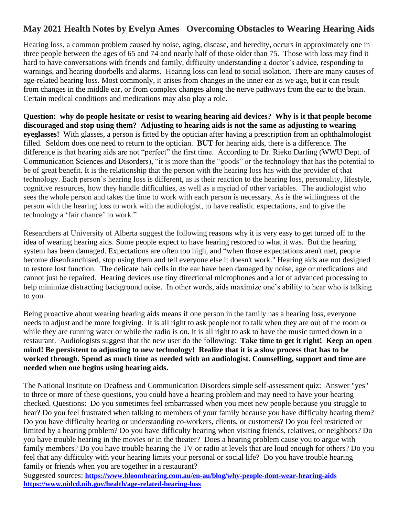## **May 2021 Health Notes by Evelyn Ames Overcoming Obstacles to Wearing Hearing Aids**

Hearing loss, a common problem caused by noise, aging, disease, and heredity, occurs in approximately one in three people between the ages of 65 and 74 and nearly half of those older than 75. Those with loss may find it hard to have conversations with friends and family, difficulty understanding a doctor's advice, responding to warnings, and hearing doorbells and alarms. Hearing loss can lead to social isolation. There are many causes of age-related hearing loss. Most commonly, it arises from changes in the inner ear as we age, but it can result from changes in the middle ear, or from complex changes along the nerve pathways from the ear to the brain. Certain medical conditions and medications may also play a role.

**Question: why do people hesitate or resist to wearing hearing aid devices? Why is it that people become discouraged and stop using them? Adjusting to hearing aids is not the same as adjusting to wearing eyeglasses!** With glasses, a person is fitted by the optician after having a prescription from an ophthalmologist filled. Seldom does one need to return to the optician. **BUT** for hearing aids, there is a difference. The difference is that hearing aids are not "perfect" the first time. According to Dr. Rieko Darling (WWU Dept. of Communication Sciences and Disorders), "it is more than the "goods" or the technology that has the potential to be of great benefit. It is the relationship that the person with the hearing loss has with the provider of that technology. Each person's hearing loss is different, as is their reaction to the hearing loss, personality, lifestyle, cognitive resources, how they handle difficulties, as well as a myriad of other variables. The audiologist who sees the whole person and takes the time to work with each person is necessary. As is the willingness of the person with the hearing loss to work with the audiologist, to have realistic expectations, and to give the technology a 'fair chance' to work."

Researchers at University of Alberta suggest the following reasons why it is very easy to get turned off to the idea of wearing hearing aids. Some people expect to have hearing restored to what it was. But the hearing system has been damaged. Expectations are often too high, and "when those expectations aren't met, people become disenfranchised, stop using them and tell everyone else it doesn't work." Hearing aids are not designed to restore lost function. The delicate hair cells in the ear have been damaged by noise, age or medications and cannot just be repaired. Hearing devices use tiny directional microphones and a lot of advanced processing to help minimize distracting background noise. In other words, aids maximize one's ability to hear who is talking to you.

Being proactive about wearing hearing aids means if one person in the family has a hearing loss, everyone needs to adjust and be more forgiving. It is all right to ask people not to talk when they are out of the room or while they are running water or while the radio is on. It is all right to ask to have the music turned down in a restaurant. Audiologists suggest that the new user do the following: **Take time to get it right! Keep an open mind! Be persistent to adjusting to new technology! Realize that it is a slow process that has to be worked through. Spend as much time as needed with an audiologist. Counselling, support and time are needed when one begins using hearing aids.**

The National Institute on Deafness and Communication Disorders simple self-assessment quiz: Answer "yes" to three or more of these questions, you could have a hearing problem and may need to have your hearing checked. Questions: Do you sometimes feel embarrassed when you meet new people because you struggle to hear? Do you feel frustrated when talking to members of your family because you have difficulty hearing them? Do you have difficulty hearing or understanding co-workers, clients, or customers? Do you feel restricted or limited by a hearing problem? Do you have difficulty hearing when visiting friends, relatives, or neighbors? Do you have trouble hearing in the movies or in the theater? Does a hearing problem cause you to argue with family members? Do you have trouble hearing the TV or radio at levels that are loud enough for others? Do you feel that any difficulty with your hearing limits your personal or social life? Do you have trouble hearing family or friends when you are together in a restaurant?

Suggested sources: **[https://www.bloomhearing.com.au/en-au/blog/why-people-dont-wear-hearing-aids](https://nam11.safelinks.protection.outlook.com/?url=https%3A%2F%2Fwww.bloomhearing.com.au%2Fen-au%2Fblog%2Fwhy-people-dont-wear-hearing-aids&data=04%7C01%7Ceames%40wwu.edu%7C35d4ce56a9af4bc39a1208d90b4a8bdc%7Cdc46140ce26f43efb0ae00f257f478ff%7C0%7C0%7C637553237060815762%7CUnknown%7CTWFpbGZsb3d8eyJWIjoiMC4wLjAwMDAiLCJQIjoiV2luMzIiLCJBTiI6Ik1haWwiLCJXVCI6Mn0%3D%7C1000&sdata=l833azM%2B8IQUtg%2Fh02412calwa6ufyXxtzmaJmZjW9Y%3D&reserved=0) <https://www.nidcd.nih.gov/health/age-related-hearing-loss>**